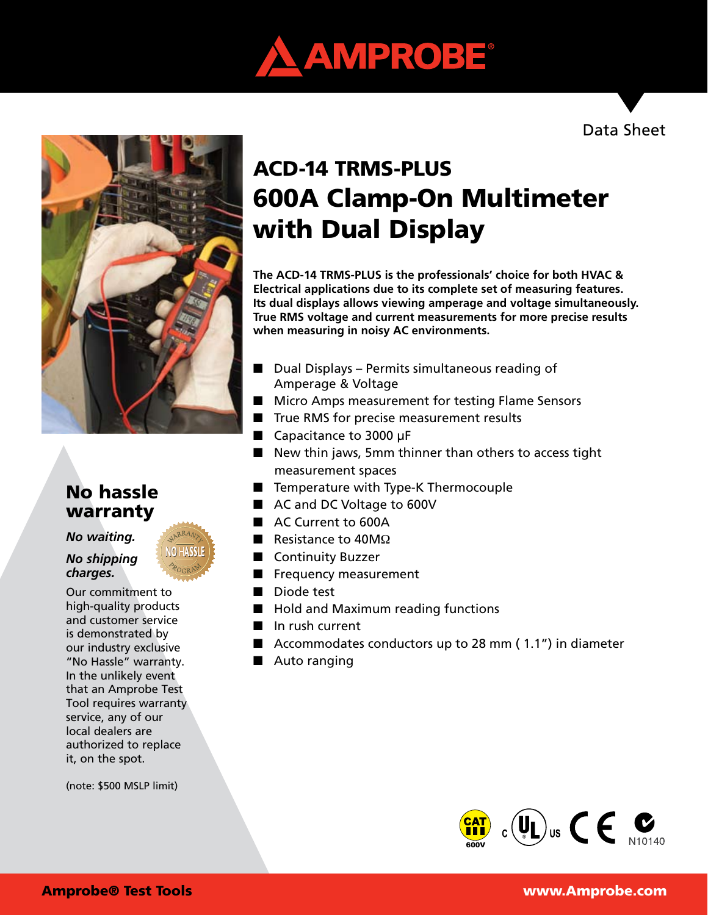





## No hassle warranty

#### *No waiting.*

#### *No shipping charges.*

Our commitment to high-quality products and customer service is demonstrated by our industry exclusive "No Hassle" warranty. In the unlikely event that an Amprobe Test Tool requires warranty service, any of our local dealers are authorized to replace it, on the spot.

(note: \$500 MSLP limit)

# ACD-14 TRMS-PLUS 600A Clamp-On Multimeter with Dual Display

**The ACD-14 TRMS-PLUS is the professionals' choice for both HVAC & Electrical applications due to its complete set of measuring features. Its dual displays allows viewing amperage and voltage simultaneously. True RMS voltage and current measurements for more precise results when measuring in noisy AC environments.**

- $\Box$  Dual Displays Permits simultaneous reading of Amperage & Voltage
- Micro Amps measurement for testing Flame Sensors
- True RMS for precise measurement results
- $\blacksquare$  Capacitance to 3000 µF
- $\blacksquare$  New thin jaws, 5mm thinner than others to access tight measurement spaces
- Temperature with Type-K Thermocouple
- AC and DC Voltage to 600V
- AC Current to 600A
- Resistance to  $40M\Omega$
- **n** Continuity Buzzer
- $\blacksquare$  Frequency measurement
- Diode test
- Hold and Maximum reading functions
- $\blacksquare$  In rush current
- Accommodates conductors up to 28 mm  $(1.1")$  in diameter
- $\blacksquare$  Auto ranging



#### Amprobe® Test Tools www.Amprobe.com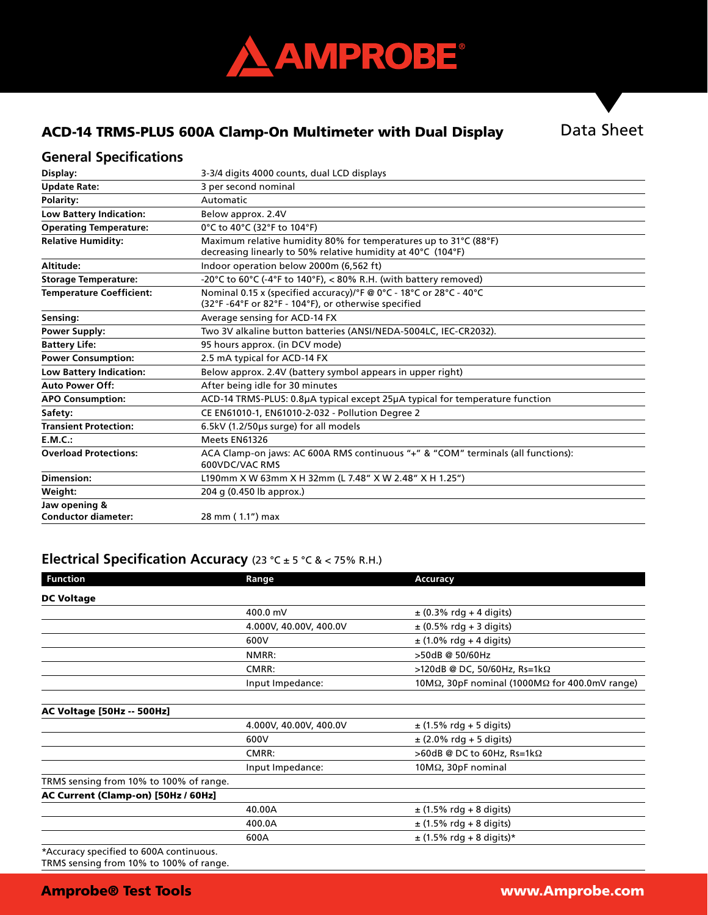

#### ACD-14 TRMS-PLUS 600A Clamp-On Multimeter with Dual Display

#### **General Specifications**

| Display:                        | 3-3/4 digits 4000 counts, dual LCD displays                                                                                      |  |  |
|---------------------------------|----------------------------------------------------------------------------------------------------------------------------------|--|--|
| <b>Update Rate:</b>             | 3 per second nominal                                                                                                             |  |  |
| Polarity:                       | Automatic                                                                                                                        |  |  |
| <b>Low Battery Indication:</b>  | Below approx. 2.4V                                                                                                               |  |  |
| <b>Operating Temperature:</b>   | 0°C to 40°C (32°F to 104°F)                                                                                                      |  |  |
| <b>Relative Humidity:</b>       | Maximum relative humidity 80% for temperatures up to 31°C (88°F)<br>decreasing linearly to 50% relative humidity at 40°C (104°F) |  |  |
| Altitude:                       | Indoor operation below 2000m (6,562 ft)                                                                                          |  |  |
| <b>Storage Temperature:</b>     | -20°C to 60°C (-4°F to 140°F), < 80% R.H. (with battery removed)                                                                 |  |  |
| <b>Temperature Coefficient:</b> | Nominal 0.15 x (specified accuracy)/°F @ 0°C - 18°C or 28°C - 40°C<br>(32°F-64°F or 82°F - 104°F), or otherwise specified        |  |  |
| Sensing:                        | Average sensing for ACD-14 FX                                                                                                    |  |  |
| Power Supply:                   | Two 3V alkaline button batteries (ANSI/NEDA-5004LC, IEC-CR2032).                                                                 |  |  |
| <b>Battery Life:</b>            | 95 hours approx. (in DCV mode)                                                                                                   |  |  |
| <b>Power Consumption:</b>       | 2.5 mA typical for ACD-14 FX                                                                                                     |  |  |
| <b>Low Battery Indication:</b>  | Below approx. 2.4V (battery symbol appears in upper right)                                                                       |  |  |
| <b>Auto Power Off:</b>          | After being idle for 30 minutes                                                                                                  |  |  |
| <b>APO Consumption:</b>         | ACD-14 TRMS-PLUS: 0.8µA typical except 25µA typical for temperature function                                                     |  |  |
| Safety:                         | CE EN61010-1, EN61010-2-032 - Pollution Degree 2                                                                                 |  |  |
| <b>Transient Protection:</b>    | 6.5kV (1.2/50us surge) for all models                                                                                            |  |  |
| E.M.C.:                         | Meets EN61326                                                                                                                    |  |  |
| <b>Overload Protections:</b>    | ACA Clamp-on jaws: AC 600A RMS continuous "+" & "COM" terminals (all functions):<br>600VDC/VAC RMS                               |  |  |
| Dimension:                      | L190mm X W 63mm X H 32mm (L 7.48" X W 2.48" X H 1.25")                                                                           |  |  |
| Weight:                         | 204 g (0.450 lb approx.)                                                                                                         |  |  |
| Jaw opening &                   |                                                                                                                                  |  |  |
| <b>Conductor diameter:</b>      | 28 mm (1.1") max                                                                                                                 |  |  |

#### **Electrical Specification Accuracy** (23 °C ± 5 °C & < 75% R.H.)

| <b>Function</b>                             | Range                  | <b>Accuracy</b>                                                |
|---------------------------------------------|------------------------|----------------------------------------------------------------|
| <b>DC Voltage</b>                           |                        |                                                                |
|                                             | 400.0 mV               | $\pm$ (0.3% rdg + 4 digits)                                    |
|                                             | 4.000V, 40.00V, 400.0V | $\pm$ (0.5% rdg + 3 digits)                                    |
|                                             | 600V                   | $\pm$ (1.0% rdg + 4 digits)                                    |
|                                             | NMRR:                  | >50dB @ 50/60Hz                                                |
|                                             | CMRR:                  | >120dB @ DC, 50/60Hz, Rs=1kΩ                                   |
|                                             | Input Impedance:       | 10M $\Omega$ , 30pF nominal (1000M $\Omega$ for 400.0mV range) |
|                                             |                        |                                                                |
| <b>AC Voltage [50Hz -- 500Hz]</b>           |                        |                                                                |
|                                             | 4.000V, 40.00V, 400.0V | $\pm$ (1.5% rdg + 5 digits)                                    |
|                                             | 600V                   | $\pm$ (2.0% rdg + 5 digits)                                    |
|                                             | CMRR:                  | >60dB @ DC to 60Hz, Rs=1k $\Omega$                             |
|                                             | Input Impedance:       | $10M\Omega$ , $30pF$ nominal                                   |
| TRMS sensing from 10% to 100% of range.     |                        |                                                                |
| AC Current (Clamp-on) [50Hz / 60Hz]         |                        |                                                                |
|                                             | 40.00A                 | $\pm$ (1.5% rdg + 8 digits)                                    |
|                                             | 400.0A                 | $\pm$ (1.5% rdg + 8 digits)                                    |
|                                             | 600A                   | $\pm$ (1.5% rdg + 8 digits)*                                   |
| $*A$ courage specified to $500A$ continuous |                        |                                                                |

\*Accuracy specified to 600A continuous. TRMS sensing from 10% to 100% of range.

#### Amprobe® Test Tools www.Amprobe.com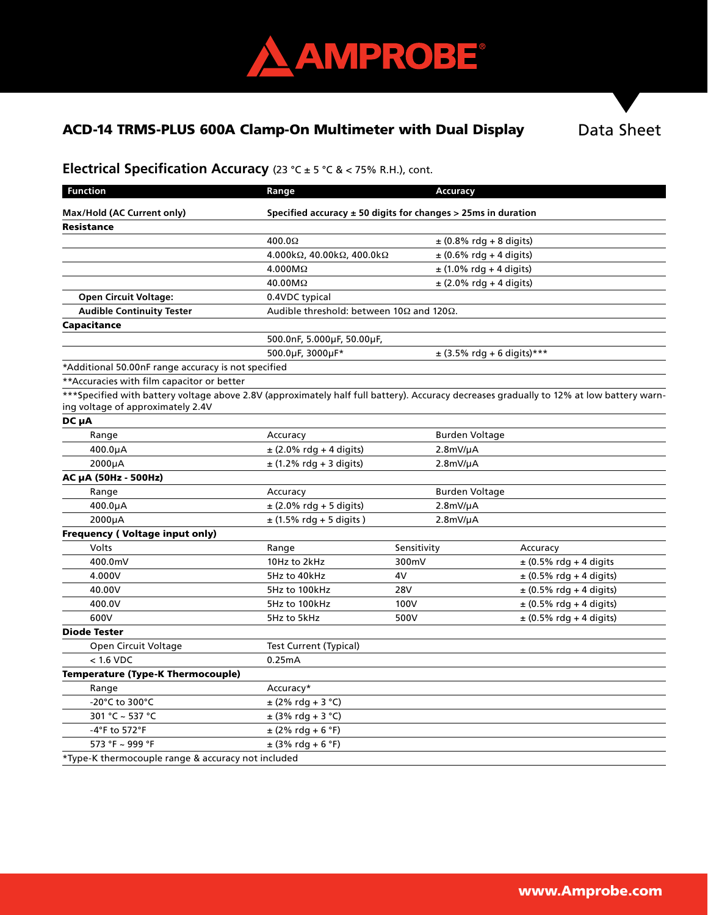

### ACD-14 TRMS-PLUS 600A Clamp-On Multimeter with Dual Display

Data Sheet

# **Electrical Specification Accuracy** (23 °C ± 5 °C & < 75% R.H.), cont.

| <b>Function</b>                                                                                                                                                               | Range                                                             | <b>Accuracy</b>             |                                |  |
|-------------------------------------------------------------------------------------------------------------------------------------------------------------------------------|-------------------------------------------------------------------|-----------------------------|--------------------------------|--|
| Max/Hold (AC Current only)                                                                                                                                                    | Specified accuracy $\pm$ 50 digits for changes > 25ms in duration |                             |                                |  |
| <b>Resistance</b>                                                                                                                                                             |                                                                   |                             |                                |  |
|                                                                                                                                                                               | 400.0 $\Omega$                                                    | $\pm$ (0.8% rdg + 8 digits) |                                |  |
|                                                                                                                                                                               | 4.000kΩ, 40.00kΩ, 400.0kΩ                                         | $\pm$ (0.6% rdg + 4 digits) |                                |  |
|                                                                                                                                                                               | $4.000M\Omega$                                                    | $\pm$ (1.0% rdg + 4 digits) |                                |  |
|                                                                                                                                                                               | 40.00MΩ                                                           | $\pm$ (2.0% rdg + 4 digits) |                                |  |
| <b>Open Circuit Voltage:</b>                                                                                                                                                  | 0.4VDC typical                                                    |                             |                                |  |
| <b>Audible Continuity Tester</b>                                                                                                                                              | Audible threshold: between 10Ω and 120Ω.                          |                             |                                |  |
| Capacitance                                                                                                                                                                   |                                                                   |                             |                                |  |
|                                                                                                                                                                               | 500.0nF, 5.000µF, 50.00µF,                                        |                             |                                |  |
|                                                                                                                                                                               | 500.0µF, 3000µF*                                                  |                             | $\pm$ (3.5% rdg + 6 digits)*** |  |
| *Additional 50.00nF range accuracy is not specified                                                                                                                           |                                                                   |                             |                                |  |
| ** Accuracies with film capacitor or better                                                                                                                                   |                                                                   |                             |                                |  |
| ***Specified with battery voltage above 2.8V (approximately half full battery). Accuracy decreases gradually to 12% at low battery warn-<br>ing voltage of approximately 2.4V |                                                                   |                             |                                |  |
| DC µA                                                                                                                                                                         |                                                                   |                             |                                |  |
| Range                                                                                                                                                                         | Accuracy                                                          | <b>Burden Voltage</b>       |                                |  |
| $400.0\mu A$                                                                                                                                                                  | $±$ (2.0% rdg + 4 digits)                                         | $2.8mV/\mu A$               |                                |  |
| 2000µA                                                                                                                                                                        | $\pm$ (1.2% rdg + 3 digits)                                       | $2.8mV/\mu A$               |                                |  |
| AC µA (50Hz - 500Hz)                                                                                                                                                          |                                                                   |                             |                                |  |
| Range                                                                                                                                                                         | Accuracy                                                          | <b>Burden Voltage</b>       |                                |  |
| 400.0µA                                                                                                                                                                       | $\pm$ (2.0% rdg + 5 digits)                                       | $2.8mV/\mu A$               |                                |  |
| 2000µA                                                                                                                                                                        | $\pm$ (1.5% rdg + 5 digits)                                       | $2.8mV/\mu A$               |                                |  |
| <b>Frequency (Voltage input only)</b>                                                                                                                                         |                                                                   |                             |                                |  |
| Volts                                                                                                                                                                         | Range                                                             | Sensitivity                 | Accuracy                       |  |
| 400.0mV                                                                                                                                                                       | 10Hz to 2kHz                                                      | 300mV                       | $\pm$ (0.5% rdg + 4 digits     |  |
| 4.000V                                                                                                                                                                        | 5Hz to 40kHz                                                      | 4V                          | $\pm$ (0.5% rdg + 4 digits)    |  |
| 40.00V                                                                                                                                                                        | 5Hz to 100kHz                                                     | 28V                         | $\pm$ (0.5% rdg + 4 digits)    |  |
| 400.0V                                                                                                                                                                        | 5Hz to 100kHz                                                     | 100V                        | $\pm$ (0.5% rdg + 4 digits)    |  |
| 600V                                                                                                                                                                          | 5Hz to 5kHz                                                       | 500V                        | $\pm$ (0.5% rdg + 4 digits)    |  |
| <b>Diode Tester</b>                                                                                                                                                           |                                                                   |                             |                                |  |
| Open Circuit Voltage                                                                                                                                                          | <b>Test Current (Typical)</b>                                     |                             |                                |  |
| $< 1.6$ VDC                                                                                                                                                                   | 0.25mA                                                            |                             |                                |  |
| <b>Temperature (Type-K Thermocouple)</b>                                                                                                                                      |                                                                   |                             |                                |  |
| Range                                                                                                                                                                         | Accuracy*                                                         |                             |                                |  |
| -20°C to 300°C                                                                                                                                                                | $±$ (2% rdg + 3 °C)                                               |                             |                                |  |
| 301 °C ~ 537 °C                                                                                                                                                               | $±$ (3% rdg + 3 °C)                                               |                             |                                |  |
| -4°F to 572°F                                                                                                                                                                 | $\pm$ (2% rdg + 6 °F)                                             |                             |                                |  |
| 573 °F ~ 999 °F                                                                                                                                                               | $\pm$ (3% rdg + 6 °F)                                             |                             |                                |  |
| *Type-K thermocouple range & accuracy not included                                                                                                                            |                                                                   |                             |                                |  |